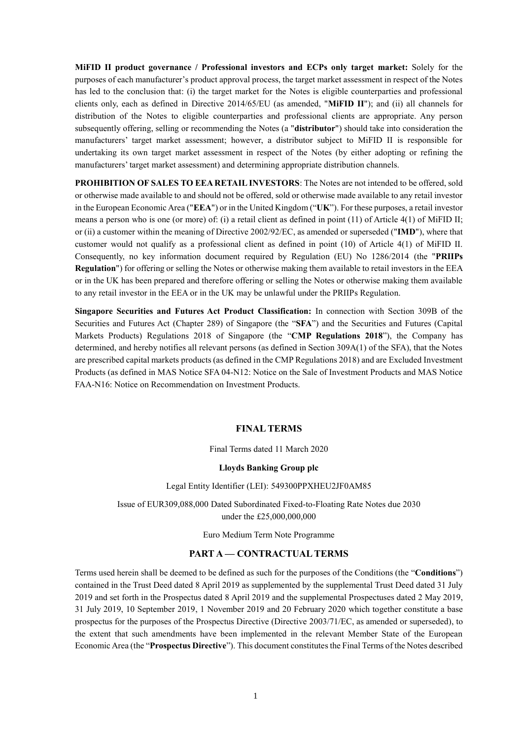**MiFID II product governance / Professional investors and ECPs only target market:** Solely for the purposes of each manufacturer's product approval process, the target market assessment in respect of the Notes has led to the conclusion that: (i) the target market for the Notes is eligible counterparties and professional clients only, each as defined in Directive 2014/65/EU (as amended, "**MiFID II**"); and (ii) all channels for distribution of the Notes to eligible counterparties and professional clients are appropriate. Any person subsequently offering, selling or recommending the Notes (a "**distributor**") should take into consideration the manufacturers' target market assessment; however, a distributor subject to MiFID II is responsible for undertaking its own target market assessment in respect of the Notes (by either adopting or refining the manufacturers' target market assessment) and determining appropriate distribution channels.

**PROHIBITION OF SALES TO EEA RETAIL INVESTORS**: The Notes are not intended to be offered, sold or otherwise made available to and should not be offered, sold or otherwise made available to any retail investor in the European Economic Area ("**EEA**") or in the United Kingdom ("**UK**"). For these purposes, a retail investor means a person who is one (or more) of: (i) a retail client as defined in point (11) of Article 4(1) of MiFID II; or (ii) a customer within the meaning of Directive 2002/92/EC, as amended or superseded ("**IMD**"), where that customer would not qualify as a professional client as defined in point (10) of Article 4(1) of MiFID II. Consequently, no key information document required by Regulation (EU) No 1286/2014 (the "**PRIIPs Regulation**") for offering or selling the Notes or otherwise making them available to retail investors in the EEA or in the UK has been prepared and therefore offering or selling the Notes or otherwise making them available to any retail investor in the EEA or in the UK may be unlawful under the PRIIPs Regulation.

**Singapore Securities and Futures Act Product Classification:** In connection with Section 309B of the Securities and Futures Act (Chapter 289) of Singapore (the "**SFA**") and the Securities and Futures (Capital Markets Products) Regulations 2018 of Singapore (the "**CMP Regulations 2018**"), the Company has determined, and hereby notifies all relevant persons (as defined in Section 309A(1) of the SFA), that the Notes are prescribed capital markets products (as defined in the CMP Regulations 2018) and are Excluded Investment Products (as defined in MAS Notice SFA 04-N12: Notice on the Sale of Investment Products and MAS Notice FAA-N16: Notice on Recommendation on Investment Products.

### **FINAL TERMS**

### Final Terms dated 11 March 2020

#### **Lloyds Banking Group plc**

#### Legal Entity Identifier (LEI): 549300PPXHEU2JF0AM85

Issue of EUR309,088,000 Dated Subordinated Fixed-to-Floating Rate Notes due 2030 under the £25,000,000,000

Euro Medium Term Note Programme

### **PART A — CONTRACTUAL TERMS**

Terms used herein shall be deemed to be defined as such for the purposes of the Conditions (the "**Conditions**") contained in the Trust Deed dated 8 April 2019 as supplemented by the supplemental Trust Deed dated 31 July 2019 and set forth in the Prospectus dated 8 April 2019 and the supplemental Prospectuses dated 2 May 2019, 31 July 2019, 10 September 2019, 1 November 2019 and 20 February 2020 which together constitute a base prospectus for the purposes of the Prospectus Directive (Directive 2003/71/EC, as amended or superseded), to the extent that such amendments have been implemented in the relevant Member State of the European Economic Area (the "**Prospectus Directive**"). This document constitutes the Final Terms of the Notes described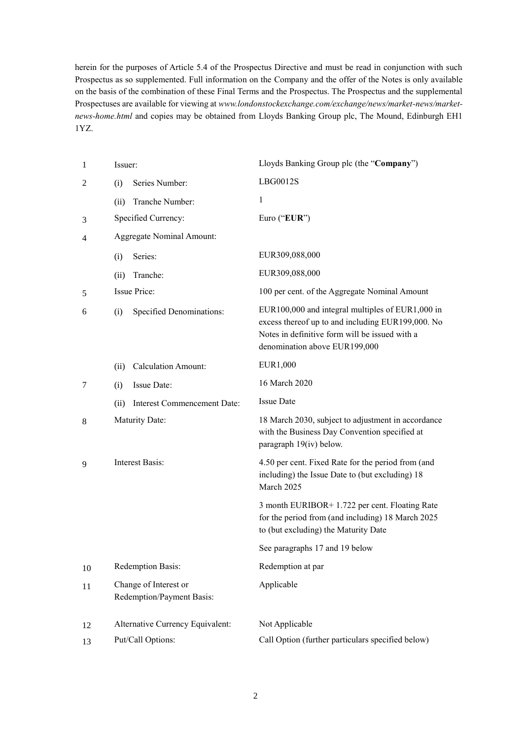herein for the purposes of Article 5.4 of the Prospectus Directive and must be read in conjunction with such Prospectus as so supplemented. Full information on the Company and the offer of the Notes is only available on the basis of the combination of these Final Terms and the Prospectus. The Prospectus and the supplemental Prospectuses are available for viewing at *www.londonstockexchange.com/exchange/news/market-news/marketnews-home.html* and copies may be obtained from Lloyds Banking Group plc, The Mound, Edinburgh EH1 1YZ.

| $\mathbf{1}$   | Issuer: |                                                    | Lloyds Banking Group plc (the "Company")                                                                                                                                                 |
|----------------|---------|----------------------------------------------------|------------------------------------------------------------------------------------------------------------------------------------------------------------------------------------------|
| $\overline{c}$ | (i)     | Series Number:                                     | LBG0012S                                                                                                                                                                                 |
|                | (ii)    | Tranche Number:                                    | 1                                                                                                                                                                                        |
| 3              |         | Specified Currency:                                | Euro ("EUR")                                                                                                                                                                             |
| 4              |         | <b>Aggregate Nominal Amount:</b>                   |                                                                                                                                                                                          |
|                | (i)     | Series:                                            | EUR309,088,000                                                                                                                                                                           |
|                | (ii)    | Tranche:                                           | EUR309,088,000                                                                                                                                                                           |
| 5              |         | Issue Price:                                       | 100 per cent. of the Aggregate Nominal Amount                                                                                                                                            |
| 6              | (i)     | <b>Specified Denominations:</b>                    | EUR100,000 and integral multiples of EUR1,000 in<br>excess thereof up to and including EUR199,000. No<br>Notes in definitive form will be issued with a<br>denomination above EUR199,000 |
|                | (ii)    | <b>Calculation Amount:</b>                         | EUR1,000                                                                                                                                                                                 |
| 7              | (i)     | Issue Date:                                        | 16 March 2020                                                                                                                                                                            |
|                | (ii)    | Interest Commencement Date:                        | <b>Issue Date</b>                                                                                                                                                                        |
| 8              |         | Maturity Date:                                     | 18 March 2030, subject to adjustment in accordance<br>with the Business Day Convention specified at<br>paragraph 19(iv) below.                                                           |
| 9              |         | <b>Interest Basis:</b>                             | 4.50 per cent. Fixed Rate for the period from (and<br>including) the Issue Date to (but excluding) 18<br>March 2025                                                                      |
|                |         |                                                    | 3 month EURIBOR+ 1.722 per cent. Floating Rate<br>for the period from (and including) 18 March 2025<br>to (but excluding) the Maturity Date                                              |
|                |         |                                                    | See paragraphs 17 and 19 below                                                                                                                                                           |
| 10             |         | Redemption Basis:                                  | Redemption at par                                                                                                                                                                        |
| 11             |         | Change of Interest or<br>Redemption/Payment Basis: | Applicable                                                                                                                                                                               |
| 12             |         | Alternative Currency Equivalent:                   | Not Applicable                                                                                                                                                                           |
| 13             |         | Put/Call Options:                                  | Call Option (further particulars specified below)                                                                                                                                        |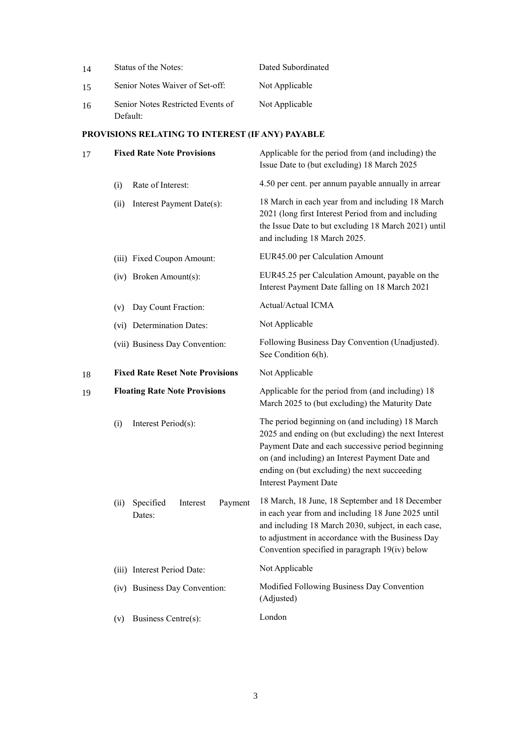| 14 | Status of the Notes:                               | Dated Subordinated                                                                                                                                                                                                                                                                                |
|----|----------------------------------------------------|---------------------------------------------------------------------------------------------------------------------------------------------------------------------------------------------------------------------------------------------------------------------------------------------------|
| 15 | Senior Notes Waiver of Set-off:                    | Not Applicable                                                                                                                                                                                                                                                                                    |
| 16 | Senior Notes Restricted Events of<br>Default:      | Not Applicable                                                                                                                                                                                                                                                                                    |
|    | PROVISIONS RELATING TO INTEREST (IF ANY) PAYABLE   |                                                                                                                                                                                                                                                                                                   |
| 17 | <b>Fixed Rate Note Provisions</b>                  | Applicable for the period from (and including) the<br>Issue Date to (but excluding) 18 March 2025                                                                                                                                                                                                 |
|    | Rate of Interest:<br>(i)                           | 4.50 per cent. per annum payable annually in arrear                                                                                                                                                                                                                                               |
|    | Interest Payment Date(s):<br>(ii)                  | 18 March in each year from and including 18 March<br>2021 (long first Interest Period from and including<br>the Issue Date to but excluding 18 March 2021) until<br>and including 18 March 2025.                                                                                                  |
|    | (iii) Fixed Coupon Amount:                         | EUR45.00 per Calculation Amount                                                                                                                                                                                                                                                                   |
|    | (iv) Broken Amount(s):                             | EUR45.25 per Calculation Amount, payable on the<br>Interest Payment Date falling on 18 March 2021                                                                                                                                                                                                 |
|    | Day Count Fraction:<br>(v)                         | Actual/Actual ICMA                                                                                                                                                                                                                                                                                |
|    | (vi) Determination Dates:                          | Not Applicable                                                                                                                                                                                                                                                                                    |
|    | (vii) Business Day Convention:                     | Following Business Day Convention (Unadjusted).<br>See Condition 6(h).                                                                                                                                                                                                                            |
| 18 | <b>Fixed Rate Reset Note Provisions</b>            | Not Applicable                                                                                                                                                                                                                                                                                    |
| 19 | <b>Floating Rate Note Provisions</b>               | Applicable for the period from (and including) 18<br>March 2025 to (but excluding) the Maturity Date                                                                                                                                                                                              |
|    | Interest Period(s):<br>(i)                         | The period beginning on (and including) 18 March<br>2025 and ending on (but excluding) the next Interest<br>Payment Date and each successive period beginning<br>on (and including) an Interest Payment Date and<br>ending on (but excluding) the next succeeding<br><b>Interest Payment Date</b> |
|    | Specified<br>Interest<br>Payment<br>(ii)<br>Dates: | 18 March, 18 June, 18 September and 18 December<br>in each year from and including 18 June 2025 until<br>and including 18 March 2030, subject, in each case,<br>to adjustment in accordance with the Business Day<br>Convention specified in paragraph 19(iv) below                               |
|    | (iii) Interest Period Date:                        | Not Applicable                                                                                                                                                                                                                                                                                    |
|    | (iv) Business Day Convention:                      | Modified Following Business Day Convention<br>(Adjusted)                                                                                                                                                                                                                                          |
|    | Business Centre(s):<br>(v)                         | London                                                                                                                                                                                                                                                                                            |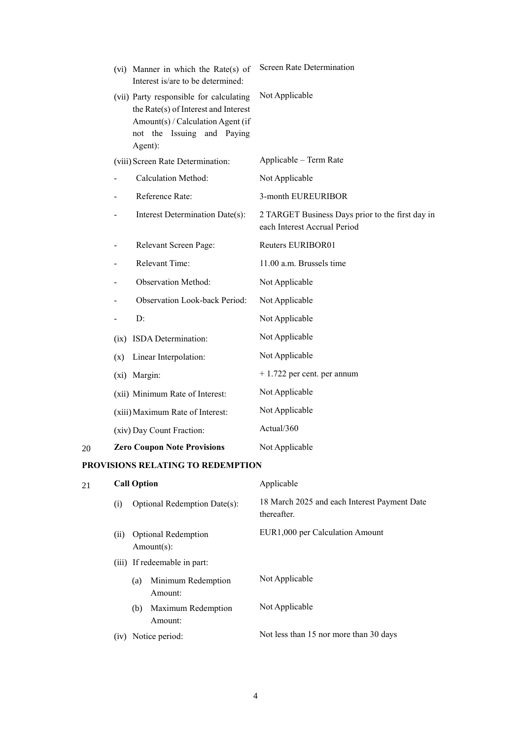|    |      | (vi) Manner in which the Rate(s) of<br>Interest is/are to be determined:                                                                                      | <b>Screen Rate Determination</b>                                                 |
|----|------|---------------------------------------------------------------------------------------------------------------------------------------------------------------|----------------------------------------------------------------------------------|
|    |      | (vii) Party responsible for calculating<br>the Rate(s) of Interest and Interest<br>Amount(s) / Calculation Agent (if<br>not the Issuing and Paying<br>Agent): | Not Applicable                                                                   |
|    |      | (viii) Screen Rate Determination:                                                                                                                             | Applicable - Term Rate                                                           |
|    |      | <b>Calculation Method:</b>                                                                                                                                    | Not Applicable                                                                   |
|    |      | Reference Rate:                                                                                                                                               | 3-month EUREURIBOR                                                               |
|    |      | Interest Determination Date(s):                                                                                                                               | 2 TARGET Business Days prior to the first day in<br>each Interest Accrual Period |
|    |      | Relevant Screen Page:                                                                                                                                         | Reuters EURIBOR01                                                                |
|    |      | Relevant Time:                                                                                                                                                | 11.00 a.m. Brussels time                                                         |
|    |      | <b>Observation Method:</b>                                                                                                                                    | Not Applicable                                                                   |
|    |      | Observation Look-back Period:                                                                                                                                 | Not Applicable                                                                   |
|    |      | D:                                                                                                                                                            | Not Applicable                                                                   |
|    | (ix) | ISDA Determination:                                                                                                                                           | Not Applicable                                                                   |
|    | (x)  | Linear Interpolation:                                                                                                                                         | Not Applicable                                                                   |
|    |      | (xi) Margin:                                                                                                                                                  | $+1.722$ per cent. per annum                                                     |
|    |      | (xii) Minimum Rate of Interest:                                                                                                                               | Not Applicable                                                                   |
|    |      | (xiii) Maximum Rate of Interest:                                                                                                                              | Not Applicable                                                                   |
|    |      | (xiv) Day Count Fraction:                                                                                                                                     | Actual/360                                                                       |
| 20 |      | <b>Zero Coupon Note Provisions</b>                                                                                                                            | Not Applicable                                                                   |
|    |      | <b>MO DEL JEIMO BO DED</b>                                                                                                                                    |                                                                                  |

# **PROVISIONS RELATING TO REDEMPTION**

| 21 |      | <b>Call Option</b>                       | Applicable                                                  |
|----|------|------------------------------------------|-------------------------------------------------------------|
|    | (i)  | Optional Redemption Date(s):             | 18 March 2025 and each Interest Payment Date<br>thereafter. |
|    | (i)  | <b>Optional Redemption</b><br>Amount(s): | EUR1,000 per Calculation Amount                             |
|    |      | (iii) If redeemable in part:             |                                                             |
|    |      | Minimum Redemption<br>(a)<br>Amount:     | Not Applicable                                              |
|    |      | Maximum Redemption<br>(b)<br>Amount:     | Not Applicable                                              |
|    | (iv) | Notice period:                           | Not less than 15 nor more than 30 days                      |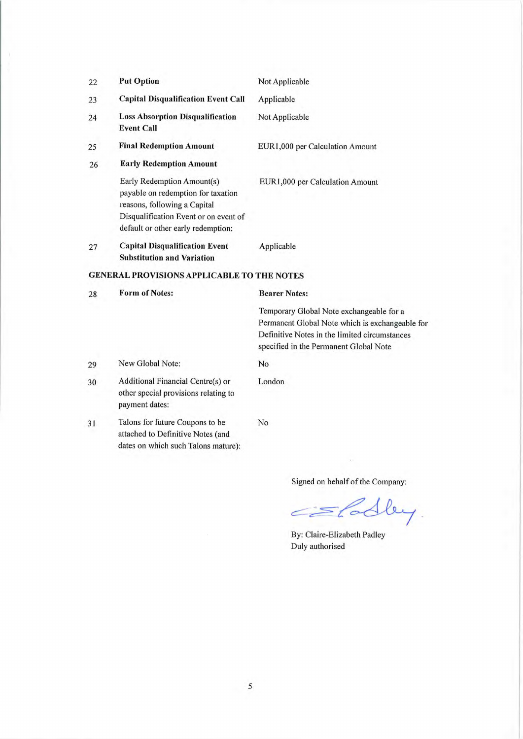| 22 | <b>Put Option</b>                                                                                                                                                               | Not Applicable                                                                                                                                                                         |
|----|---------------------------------------------------------------------------------------------------------------------------------------------------------------------------------|----------------------------------------------------------------------------------------------------------------------------------------------------------------------------------------|
| 23 | <b>Capital Disqualification Event Call</b>                                                                                                                                      | Applicable                                                                                                                                                                             |
| 24 | <b>Loss Absorption Disqualification</b><br><b>Event Call</b>                                                                                                                    | Not Applicable                                                                                                                                                                         |
| 25 | <b>Final Redemption Amount</b>                                                                                                                                                  | EUR1,000 per Calculation Amount                                                                                                                                                        |
| 26 | <b>Early Redemption Amount</b>                                                                                                                                                  |                                                                                                                                                                                        |
|    | Early Redemption Amount(s)<br>payable on redemption for taxation<br>reasons, following a Capital<br>Disqualification Event or on event of<br>default or other early redemption: | EUR1,000 per Calculation Amount                                                                                                                                                        |
| 27 | <b>Capital Disqualification Event</b><br><b>Substitution and Variation</b>                                                                                                      | Applicable                                                                                                                                                                             |
|    | <b>GENERAL PROVISIONS APPLICABLE TO THE NOTES</b>                                                                                                                               |                                                                                                                                                                                        |
| 28 | <b>Form of Notes:</b>                                                                                                                                                           | <b>Bearer Notes:</b>                                                                                                                                                                   |
|    |                                                                                                                                                                                 | Temporary Global Note exchangeable for a<br>Permanent Global Note which is exchangeable for<br>Definitive Notes in the limited circumstances<br>specified in the Permanent Global Note |
| 29 | New Global Note:                                                                                                                                                                | No                                                                                                                                                                                     |
| 30 | Additional Financial Centre(s) or<br>other special provisions relating to<br>payment dates:                                                                                     | London                                                                                                                                                                                 |

No

Talons for future Coupons to be 31 attached to Definitive Notes (and dates on which such Talons mature):

Signed on behalf of the Company:

Eladley.  $\subset$ 

By: Claire-Elizabeth Padley Duly authorised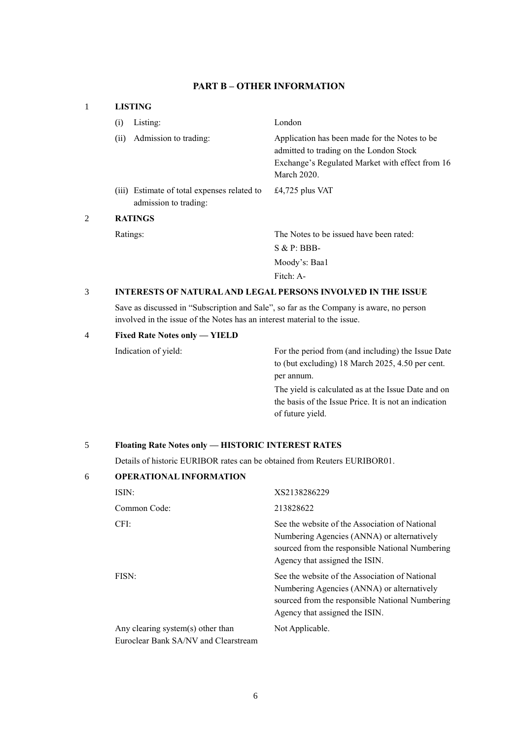# **PART B – OTHER INFORMATION**

## 1 **LISTING**

|   | (i)  | Listing:                                                             | London                                                                                                                                                      |
|---|------|----------------------------------------------------------------------|-------------------------------------------------------------------------------------------------------------------------------------------------------------|
|   | (ii) | Admission to trading:                                                | Application has been made for the Notes to be.<br>admitted to trading on the London Stock<br>Exchange's Regulated Market with effect from 16<br>March 2020. |
|   |      | (iii) Estimate of total expenses related to<br>admission to trading: | £4,725 plus VAT                                                                                                                                             |
| 2 |      | <b>RATINGS</b>                                                       |                                                                                                                                                             |
|   |      | Ratings:                                                             | The Notes to be issued have been rated:                                                                                                                     |
|   |      |                                                                      | $S & P: BBB-$                                                                                                                                               |
|   |      |                                                                      | Moody's: Baal                                                                                                                                               |
|   |      |                                                                      | Fitch: A-                                                                                                                                                   |

### 3 **INTERESTS OF NATURAL AND LEGAL PERSONS INVOLVED IN THE ISSUE**

Save as discussed in "Subscription and Sale", so far as the Company is aware, no person involved in the issue of the Notes has an interest material to the issue.

### 4 **Fixed Rate Notes only — YIELD**

Indication of yield: For the period from (and including) the Issue Date to (but excluding) 18 March 2025, 4.50 per cent. per annum.

> The yield is calculated as at the Issue Date and on the basis of the Issue Price. It is not an indication of future yield.

# 5 **Floating Rate Notes only — HISTORIC INTEREST RATES**

Details of historic EURIBOR rates can be obtained from Reuters EURIBOR01.

| 6 | <b>OPERATIONAL INFORMATION</b>                                            |                                                                                                                                                                                   |
|---|---------------------------------------------------------------------------|-----------------------------------------------------------------------------------------------------------------------------------------------------------------------------------|
|   | ISIN:                                                                     | XS2138286229                                                                                                                                                                      |
|   | Common Code:                                                              | 213828622                                                                                                                                                                         |
|   | CFI:                                                                      | See the website of the Association of National<br>Numbering Agencies (ANNA) or alternatively<br>sourced from the responsible National Numbering<br>Agency that assigned the ISIN. |
|   | FISN:                                                                     | See the website of the Association of National<br>Numbering Agencies (ANNA) or alternatively<br>sourced from the responsible National Numbering<br>Agency that assigned the ISIN. |
|   | Any clearing system(s) other than<br>Euroclear Bank SA/NV and Clearstream | Not Applicable.                                                                                                                                                                   |